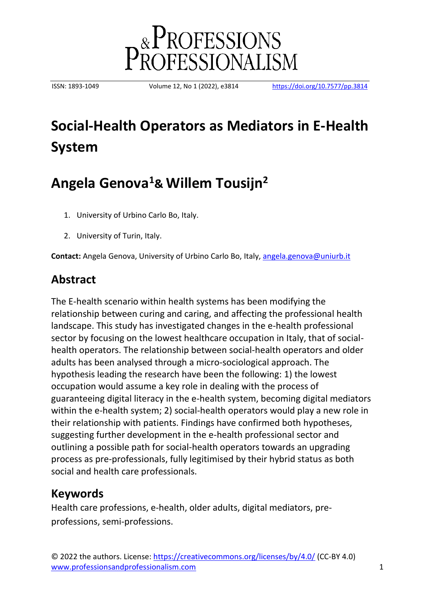

ISSN: 1893-1049 Volume 12, No 1 (2022), e3814 <https://doi.org/10.7577/pp.3814>

# **Social-Health Operators as Mediators in E-Health System**

# **Angela Genova<sup>1</sup>& Willem Tousijn<sup>2</sup>**

- 1. University of Urbino Carlo Bo, Italy.
- 2. University of Turin, Italy.

**Contact:** Angela Genova, University of Urbino Carlo Bo, Italy, [angela.genova@uniurb.it](mailto:angela.genova@uniurb.it)

### **Abstract**

The E-health scenario within health systems has been modifying the relationship between curing and caring, and affecting the professional health landscape. This study has investigated changes in the e-health professional sector by focusing on the lowest healthcare occupation in Italy, that of socialhealth operators. The relationship between social-health operators and older adults has been analysed through a micro-sociological approach. The hypothesis leading the research have been the following: 1) the lowest occupation would assume a key role in dealing with the process of guaranteeing digital literacy in the e-health system, becoming digital mediators within the e-health system; 2) social-health operators would play a new role in their relationship with patients. Findings have confirmed both hypotheses, suggesting further development in the e-health professional sector and outlining a possible path for social-health operators towards an upgrading process as pre-professionals, fully legitimised by their hybrid status as both social and health care professionals.

## **Keywords**

Health care professions, e-health, older adults, digital mediators, preprofessions, semi-professions.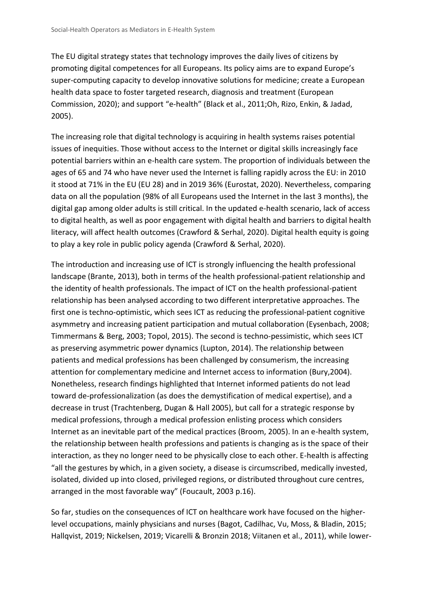The EU digital strategy states that technology improves the daily lives of citizens by promoting digital competences for all Europeans. Its policy aims are to expand Europe's super-computing capacity to develop innovative solutions for medicine; create a European health data space to foster targeted research, diagnosis and treatment (European Commission, 2020); and support "e-health" (Black et al., 2011;Oh, Rizo, Enkin, & Jadad, 2005).

The increasing role that digital technology is acquiring in health systems raises potential issues of inequities. Those without access to the Internet or digital skills increasingly face potential barriers within an e-health care system. The proportion of individuals between the ages of 65 and 74 who have never used the Internet is falling rapidly across the EU: in 2010 it stood at 71% in the EU (EU 28) and in 2019 36% (Eurostat, 2020). Nevertheless, comparing data on all the population (98% of all Europeans used the Internet in the last 3 months), the digital gap among older adults is still critical. In the updated e-health scenario, lack of access to digital health, as well as poor engagement with digital health and barriers to digital health literacy, will affect health outcomes (Crawford & Serhal, 2020). Digital health equity is going to play a key role in public policy agenda (Crawford & Serhal, 2020).

The introduction and increasing use of ICT is strongly influencing the health professional landscape (Brante, 2013), both in terms of the health professional-patient relationship and the identity of health professionals. The impact of ICT on the health professional-patient relationship has been analysed according to two different interpretative approaches. The first one is techno-optimistic, which sees ICT as reducing the professional-patient cognitive asymmetry and increasing patient participation and mutual collaboration (Eysenbach, 2008; Timmermans & Berg, 2003; Topol, 2015). The second is techno-pessimistic, which sees ICT as preserving asymmetric power dynamics (Lupton, 2014). The relationship between patients and medical professions has been challenged by consumerism, the increasing attention for complementary medicine and Internet access to information (Bury,2004). Nonetheless, research findings highlighted that Internet informed patients do not lead toward de-professionalization (as does the demystification of medical expertise), and a decrease in trust (Trachtenberg, Dugan & Hall 2005), but call for a strategic response by medical professions, through a medical profession enlisting process which considers Internet as an inevitable part of the medical practices (Broom, 2005). In an e-health system, the relationship between health professions and patients is changing as is the space of their interaction, as they no longer need to be physically close to each other. E-health is affecting "all the gestures by which, in a given society, a disease is circumscribed, medically invested, isolated, divided up into closed, privileged regions, or distributed throughout cure centres, arranged in the most favorable way" (Foucault, 2003 p.16).

So far, studies on the consequences of ICT on healthcare work have focused on the higherlevel occupations, mainly physicians and nurses (Bagot, Cadilhac, Vu, Moss, & Bladin, 2015; Hallqvist, 2019; Nickelsen, 2019; Vicarelli & Bronzin 2018; Viitanen et al., 2011), while lower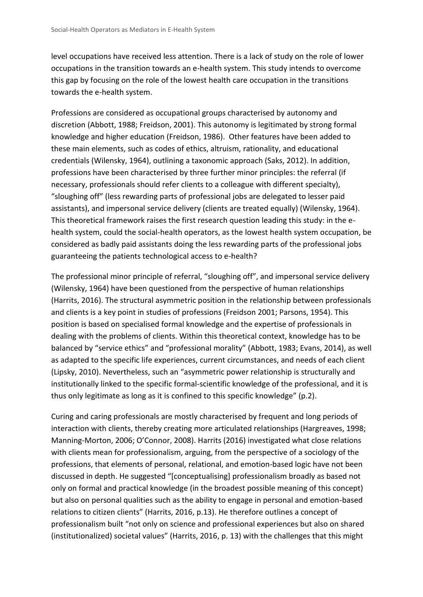level occupations have received less attention. There is a lack of study on the role of lower occupations in the transition towards an e-health system. This study intends to overcome this gap by focusing on the role of the lowest health care occupation in the transitions towards the e-health system.

Professions are considered as occupational groups characterised by autonomy and discretion (Abbott, 1988; Freidson, 2001). This autonomy is legitimated by strong formal knowledge and higher education (Freidson, 1986). Other features have been added to these main elements, such as codes of ethics, altruism, rationality, and educational credentials (Wilensky, 1964), outlining a taxonomic approach (Saks, 2012). In addition, professions have been characterised by three further minor principles: the referral (if necessary, professionals should refer clients to a colleague with different specialty), "sloughing off" (less rewarding parts of professional jobs are delegated to lesser paid assistants), and impersonal service delivery (clients are treated equally) (Wilensky, 1964). This theoretical framework raises the first research question leading this study: in the ehealth system, could the social-health operators, as the lowest health system occupation, be considered as badly paid assistants doing the less rewarding parts of the professional jobs guaranteeing the patients technological access to e-health?

The professional minor principle of referral, "sloughing off", and impersonal service delivery (Wilensky, 1964) have been questioned from the perspective of human relationships (Harrits, 2016). The structural asymmetric position in the relationship between professionals and clients is a key point in studies of professions (Freidson 2001; Parsons, 1954). This position is based on specialised formal knowledge and the expertise of professionals in dealing with the problems of clients. Within this theoretical context, knowledge has to be balanced by "service ethics" and "professional morality" (Abbott, 1983; Evans, 2014), as well as adapted to the specific life experiences, current circumstances, and needs of each client (Lipsky, 2010). Nevertheless, such an "asymmetric power relationship is structurally and institutionally linked to the specific formal-scientific knowledge of the professional, and it is thus only legitimate as long as it is confined to this specific knowledge" (p.2).

Curing and caring professionals are mostly characterised by frequent and long periods of interaction with clients, thereby creating more articulated relationships (Hargreaves, 1998; Manning-Morton, 2006; O'Connor, 2008). Harrits (2016) investigated what close relations with clients mean for professionalism, arguing, from the perspective of a sociology of the professions, that elements of personal, relational, and emotion-based logic have not been discussed in depth. He suggested "[conceptualising] professionalism broadly as based not only on formal and practical knowledge (in the broadest possible meaning of this concept) but also on personal qualities such as the ability to engage in personal and emotion-based relations to citizen clients" (Harrits, 2016, p.13). He therefore outlines a concept of professionalism built "not only on science and professional experiences but also on shared (institutionalized) societal values" (Harrits, 2016, p. 13) with the challenges that this might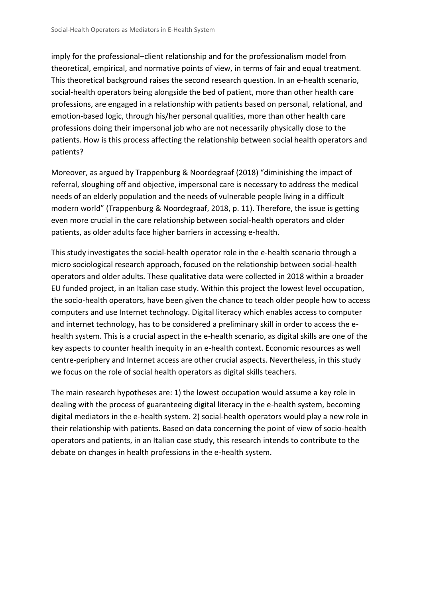imply for the professional–client relationship and for the professionalism model from theoretical, empirical, and normative points of view, in terms of fair and equal treatment. This theoretical background raises the second research question. In an e-health scenario, social-health operators being alongside the bed of patient, more than other health care professions, are engaged in a relationship with patients based on personal, relational, and emotion-based logic, through his/her personal qualities, more than other health care professions doing their impersonal job who are not necessarily physically close to the patients. How is this process affecting the relationship between social health operators and patients?

Moreover, as argued by Trappenburg & Noordegraaf (2018) "diminishing the impact of referral, sloughing off and objective, impersonal care is necessary to address the medical needs of an elderly population and the needs of vulnerable people living in a difficult modern world" (Trappenburg & Noordegraaf, 2018, p. 11). Therefore, the issue is getting even more crucial in the care relationship between social-health operators and older patients, as older adults face higher barriers in accessing e-health.

This study investigates the social-health operator role in the e-health scenario through a micro sociological research approach, focused on the relationship between social-health operators and older adults. These qualitative data were collected in 2018 within a broader EU funded project, in an Italian case study. Within this project the lowest level occupation, the socio-health operators, have been given the chance to teach older people how to access computers and use Internet technology. Digital literacy which enables access to computer and internet technology, has to be considered a preliminary skill in order to access the ehealth system. This is a crucial aspect in the e-health scenario, as digital skills are one of the key aspects to counter health inequity in an e-health context. Economic resources as well centre-periphery and Internet access are other crucial aspects. Nevertheless, in this study we focus on the role of social health operators as digital skills teachers.

The main research hypotheses are: 1) the lowest occupation would assume a key role in dealing with the process of guaranteeing digital literacy in the e-health system, becoming digital mediators in the e-health system. 2) social-health operators would play a new role in their relationship with patients. Based on data concerning the point of view of socio-health operators and patients, in an Italian case study, this research intends to contribute to the debate on changes in health professions in the e-health system.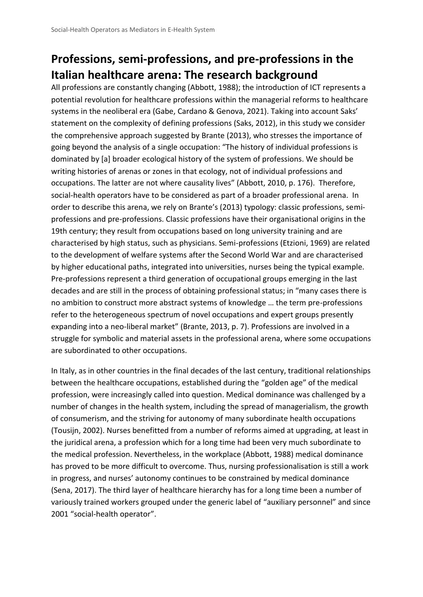## **Professions, semi-professions, and pre-professions in the Italian healthcare arena: The research background**

All professions are constantly changing (Abbott, 1988); the introduction of ICT represents a potential revolution for healthcare professions within the managerial reforms to healthcare systems in the neoliberal era (Gabe, Cardano & Genova, 2021). Taking into account Saks' statement on the complexity of defining professions (Saks, 2012), in this study we consider the comprehensive approach suggested by Brante (2013), who stresses the importance of going beyond the analysis of a single occupation: "The history of individual professions is dominated by [a] broader ecological history of the system of professions. We should be writing histories of arenas or zones in that ecology, not of individual professions and occupations. The latter are not where causality lives" (Abbott, 2010, p. 176). Therefore, social-health operators have to be considered as part of a broader professional arena. In order to describe this arena, we rely on Brante's (2013) typology: classic professions, semiprofessions and pre-professions. Classic professions have their organisational origins in the 19th century; they result from occupations based on long university training and are characterised by high status, such as physicians. Semi-professions (Etzioni, 1969) are related to the development of welfare systems after the Second World War and are characterised by higher educational paths, integrated into universities, nurses being the typical example. Pre-professions represent a third generation of occupational groups emerging in the last decades and are still in the process of obtaining professional status; in "many cases there is no ambition to construct more abstract systems of knowledge … the term pre-professions refer to the heterogeneous spectrum of novel occupations and expert groups presently expanding into a neo-liberal market" (Brante, 2013, p. 7). Professions are involved in a struggle for symbolic and material assets in the professional arena, where some occupations are subordinated to other occupations.

In Italy, as in other countries in the final decades of the last century, traditional relationships between the healthcare occupations, established during the "golden age" of the medical profession, were increasingly called into question. Medical dominance was challenged by a number of changes in the health system, including the spread of managerialism, the growth of consumerism, and the striving for autonomy of many subordinate health occupations (Tousijn, 2002). Nurses benefitted from a number of reforms aimed at upgrading, at least in the juridical arena, a profession which for a long time had been very much subordinate to the medical profession. Nevertheless, in the workplace (Abbott, 1988) medical dominance has proved to be more difficult to overcome. Thus, nursing professionalisation is still a work in progress, and nurses' autonomy continues to be constrained by medical dominance (Sena, 2017). The third layer of healthcare hierarchy has for a long time been a number of variously trained workers grouped under the generic label of "auxiliary personnel" and since 2001 "social-health operator".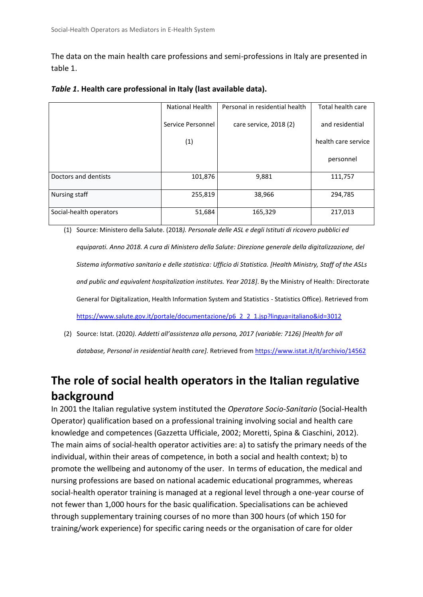The data on the main health care professions and semi-professions in Italy are presented in table 1.

|                         | National Health   | Personal in residential health | Total health care   |
|-------------------------|-------------------|--------------------------------|---------------------|
|                         |                   |                                |                     |
|                         |                   |                                |                     |
|                         | Service Personnel | care service, 2018 (2)         | and residential     |
|                         |                   |                                |                     |
|                         |                   |                                |                     |
|                         | (1)               |                                | health care service |
|                         |                   |                                |                     |
|                         |                   |                                |                     |
|                         |                   |                                | personnel           |
|                         |                   |                                |                     |
|                         |                   |                                |                     |
| Doctors and dentists    | 101,876           | 9,881                          | 111,757             |
|                         |                   |                                |                     |
|                         |                   |                                |                     |
| Nursing staff           | 255,819           | 38,966                         | 294,785             |
|                         |                   |                                |                     |
|                         |                   |                                |                     |
| Social-health operators | 51,684            | 165,329                        | 217,013             |
|                         |                   |                                |                     |
|                         |                   |                                |                     |

| Table 1. Health care professional in Italy (last available data). |  |  |  |
|-------------------------------------------------------------------|--|--|--|
|-------------------------------------------------------------------|--|--|--|

(1) Source: Ministero della Salute. (2018*). Personale delle ASL e degli Istituti di ricovero pubblici ed equiparati. Anno 2018. A cura di Ministero della Salute: Direzione generale della digitalizzazione, del Sistema informativo sanitario e delle statistica: Ufficio di Statistica. [Health Ministry, Staff of the ASLs and public and equivalent hospitalization institutes. Year 2018]*. By the Ministry of Health: Directorate General for Digitalization, Health Information System and Statistics - Statistics Office). Retrieved from [https://www.salute.gov.it/portale/documentazione/p6\\_2\\_2\\_1.jsp?lingua=italiano&id=3012](https://www.salute.gov.it/portale/documentazione/p6_2_2_1.jsp?lingua=italiano&id=3012)

(2) Source: Istat. (2020*). Addetti all'assistenza alla persona, 2017 (variable: 7126) [Health for all database, Personal in residential health care].* Retrieved from <https://www.istat.it/it/archivio/14562>

# **The role of social health operators in the Italian regulative background**

In 2001 the Italian regulative system instituted the *Operatore Socio-Sanitario* (Social-Health Operator) qualification based on a professional training involving social and health care knowledge and competences (Gazzetta Ufficiale, 2002; Moretti, Spina & Ciaschini, 2012). The main aims of social-health operator activities are: a) to satisfy the primary needs of the individual, within their areas of competence, in both a social and health context; b) to promote the wellbeing and autonomy of the user. In terms of education, the medical and nursing professions are based on national academic educational programmes, whereas social-health operator training is managed at a regional level through a one-year course of not fewer than 1,000 hours for the basic qualification. Specialisations can be achieved through supplementary training courses of no more than 300 hours (of which 150 for training/work experience) for specific caring needs or the organisation of care for older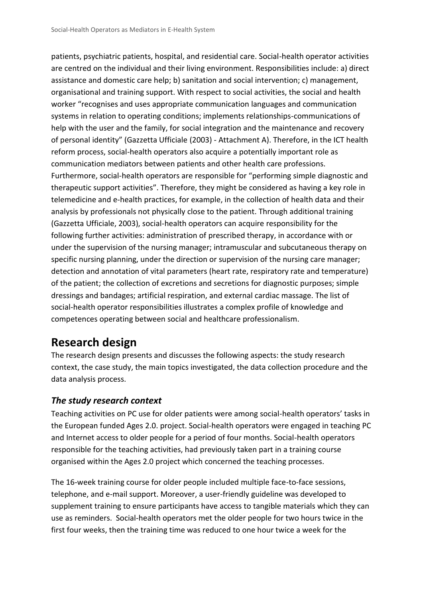patients, psychiatric patients, hospital, and residential care. Social-health operator activities are centred on the individual and their living environment. Responsibilities include: a) direct assistance and domestic care help; b) sanitation and social intervention; c) management, organisational and training support. With respect to social activities, the social and health worker "recognises and uses appropriate communication languages and communication systems in relation to operating conditions; implements relationships-communications of help with the user and the family, for social integration and the maintenance and recovery of personal identity" (Gazzetta Ufficiale (2003) - Attachment A). Therefore, in the ICT health reform process, social-health operators also acquire a potentially important role as communication mediators between patients and other health care professions. Furthermore, social-health operators are responsible for "performing simple diagnostic and therapeutic support activities". Therefore, they might be considered as having a key role in telemedicine and e-health practices, for example, in the collection of health data and their analysis by professionals not physically close to the patient. Through additional training (Gazzetta Ufficiale, 2003), social-health operators can acquire responsibility for the following further activities: administration of prescribed therapy, in accordance with or under the supervision of the nursing manager; intramuscular and subcutaneous therapy on specific nursing planning, under the direction or supervision of the nursing care manager; detection and annotation of vital parameters (heart rate, respiratory rate and temperature) of the patient; the collection of excretions and secretions for diagnostic purposes; simple dressings and bandages; artificial respiration, and external cardiac massage. The list of social-health operator responsibilities illustrates a complex profile of knowledge and competences operating between social and healthcare professionalism.

## **Research design**

The research design presents and discusses the following aspects: the study research context, the case study, the main topics investigated, the data collection procedure and the data analysis process.

#### *The study research context*

Teaching activities on PC use for older patients were among social-health operators' tasks in the European funded Ages 2.0. project. Social-health operators were engaged in teaching PC and Internet access to older people for a period of four months. Social-health operators responsible for the teaching activities, had previously taken part in a training course organised within the Ages 2.0 project which concerned the teaching processes.

The 16-week training course for older people included multiple face-to-face sessions, telephone, and e-mail support. Moreover, a user-friendly guideline was developed to supplement training to ensure participants have access to tangible materials which they can use as reminders. Social-health operators met the older people for two hours twice in the first four weeks, then the training time was reduced to one hour twice a week for the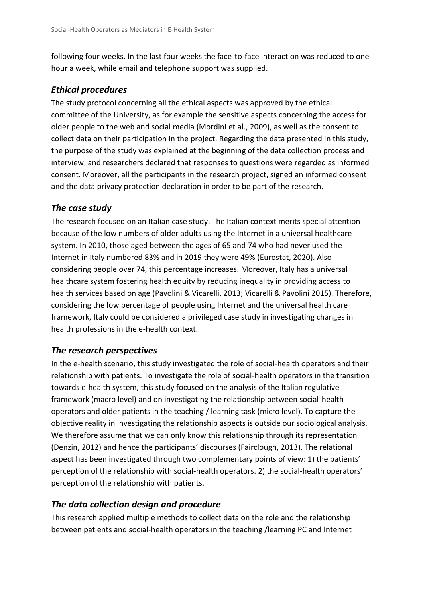following four weeks. In the last four weeks the face-to-face interaction was reduced to one hour a week, while email and telephone support was supplied.

#### *Ethical procedures*

The study protocol concerning all the ethical aspects was approved by the ethical committee of the University, as for example the sensitive aspects concerning the access for older people to the web and social media (Mordini et al., 2009), as well as the consent to collect data on their participation in the project. Regarding the data presented in this study, the purpose of the study was explained at the beginning of the data collection process and interview, and researchers declared that responses to questions were regarded as informed consent. Moreover, all the participants in the research project, signed an informed consent and the data privacy protection declaration in order to be part of the research.

#### *The case study*

The research focused on an Italian case study. The Italian context merits special attention because of the low numbers of older adults using the Internet in a universal healthcare system. In 2010, those aged between the ages of 65 and 74 who had never used the Internet in Italy numbered 83% and in 2019 they were 49% (Eurostat, 2020). Also considering people over 74, this percentage increases. Moreover, Italy has a universal healthcare system fostering health equity by reducing inequality in providing access to health services based on age (Pavolini & Vicarelli, 2013; Vicarelli & Pavolini 2015). Therefore, considering the low percentage of people using Internet and the universal health care framework, Italy could be considered a privileged case study in investigating changes in health professions in the e-health context.

#### *The research perspectives*

In the e-health scenario, this study investigated the role of social-health operators and their relationship with patients. To investigate the role of social-health operators in the transition towards e-health system, this study focused on the analysis of the Italian regulative framework (macro level) and on investigating the relationship between social-health operators and older patients in the teaching / learning task (micro level). To capture the objective reality in investigating the relationship aspects is outside our sociological analysis. We therefore assume that we can only know this relationship through its representation (Denzin, 2012) and hence the participants' discourses (Fairclough, 2013). The relational aspect has been investigated through two complementary points of view: 1) the patients' perception of the relationship with social-health operators. 2) the social-health operators' perception of the relationship with patients.

#### *The data collection design and procedure*

This research applied multiple methods to collect data on the role and the relationship between patients and social-health operators in the teaching /learning PC and Internet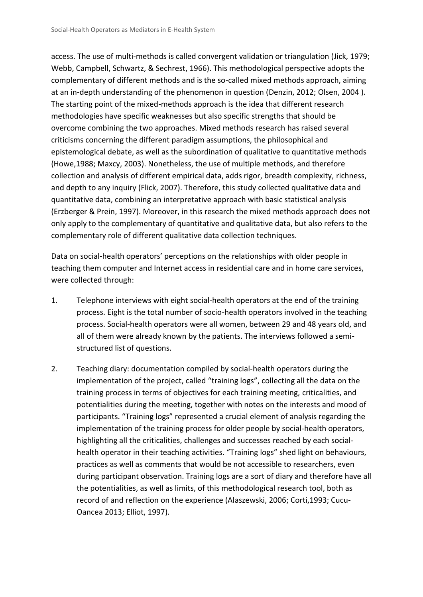access. The use of multi-methods is called convergent validation or triangulation (Jick, 1979; Webb, Campbell, Schwartz, & Sechrest, 1966). This methodological perspective adopts the complementary of different methods and is the so-called mixed methods approach, aiming at an in-depth understanding of the phenomenon in question (Denzin, 2012; Olsen, 2004 ). The starting point of the mixed-methods approach is the idea that different research methodologies have specific weaknesses but also specific strengths that should be overcome combining the two approaches. Mixed methods research has raised several criticisms concerning the different paradigm assumptions, the philosophical and epistemological debate, as well as the subordination of qualitative to quantitative methods (Howe,1988; Maxcy, 2003). Nonetheless, the use of multiple methods, and therefore collection and analysis of different empirical data, adds rigor, breadth complexity, richness, and depth to any inquiry (Flick, 2007). Therefore, this study collected qualitative data and quantitative data, combining an interpretative approach with basic statistical analysis (Erzberger & Prein, 1997). Moreover, in this research the mixed methods approach does not only apply to the complementary of quantitative and qualitative data, but also refers to the complementary role of different qualitative data collection techniques.

Data on social-health operators' perceptions on the relationships with older people in teaching them computer and Internet access in residential care and in home care services, were collected through:

- 1. Telephone interviews with eight social-health operators at the end of the training process. Eight is the total number of socio-health operators involved in the teaching process. Social-health operators were all women, between 29 and 48 years old, and all of them were already known by the patients. The interviews followed a semistructured list of questions.
- 2. Teaching diary: documentation compiled by social-health operators during the implementation of the project, called "training logs", collecting all the data on the training process in terms of objectives for each training meeting, criticalities, and potentialities during the meeting, together with notes on the interests and mood of participants. "Training logs" represented a crucial element of analysis regarding the implementation of the training process for older people by social-health operators, highlighting all the criticalities, challenges and successes reached by each socialhealth operator in their teaching activities. "Training logs" shed light on behaviours, practices as well as comments that would be not accessible to researchers, even during participant observation. Training logs are a sort of diary and therefore have all the potentialities, as well as limits, of this methodological research tool, both as record of and reflection on the experience (Alaszewski, 2006; Corti,1993; Cucu-Oancea 2013; Elliot, 1997).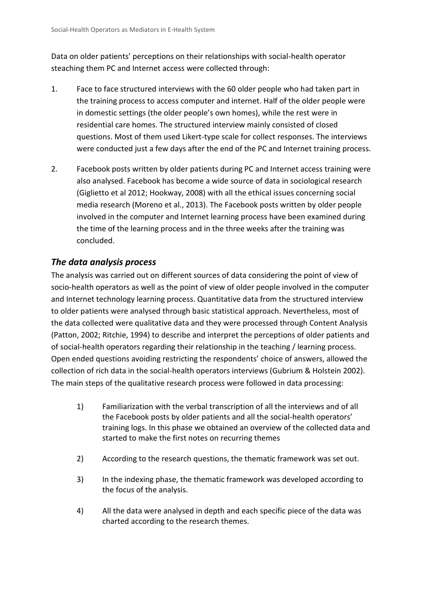Data on older patients' perceptions on their relationships with social-health operator steaching them PC and Internet access were collected through:

- 1. Face to face structured interviews with the 60 older people who had taken part in the training process to access computer and internet. Half of the older people were in domestic settings (the older people's own homes), while the rest were in residential care homes. The structured interview mainly consisted of closed questions. Most of them used Likert-type scale for collect responses. The interviews were conducted just a few days after the end of the PC and Internet training process.
- 2. Facebook posts written by older patients during PC and Internet access training were also analysed. Facebook has become a wide source of data in sociological research (Giglietto et al 2012; Hookway, 2008) with all the ethical issues concerning social media research (Moreno et al., 2013). The Facebook posts written by older people involved in the computer and Internet learning process have been examined during the time of the learning process and in the three weeks after the training was concluded.

#### *The data analysis process*

The analysis was carried out on different sources of data considering the point of view of socio-health operators as well as the point of view of older people involved in the computer and Internet technology learning process. Quantitative data from the structured interview to older patients were analysed through basic statistical approach. Nevertheless, most of the data collected were qualitative data and they were processed through Content Analysis (Patton, 2002; Ritchie, 1994) to describe and interpret the perceptions of older patients and of social-health operators regarding their relationship in the teaching / learning process. Open ended questions avoiding restricting the respondents' choice of answers, allowed the collection of rich data in the social-health operators interviews (Gubrium & Holstein 2002). The main steps of the qualitative research process were followed in data processing:

- 1) Familiarization with the verbal transcription of all the interviews and of all the Facebook posts by older patients and all the social-health operators' training logs. In this phase we obtained an overview of the collected data and started to make the first notes on recurring themes
- 2) According to the research questions, the thematic framework was set out.
- 3) In the indexing phase, the thematic framework was developed according to the focus of the analysis.
- 4) All the data were analysed in depth and each specific piece of the data was charted according to the research themes.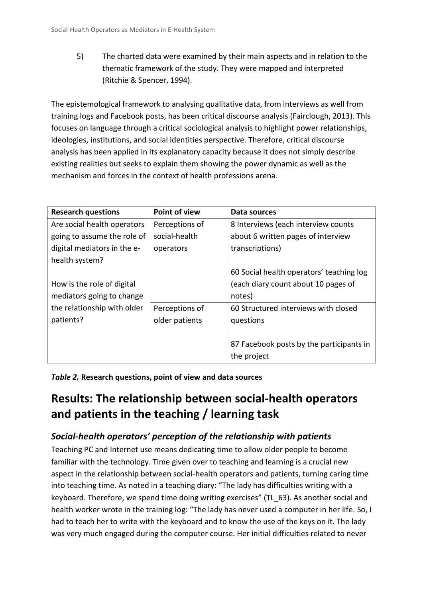5) The charted data were examined by their main aspects and in relation to the thematic framework of the study. They were mapped and interpreted (Ritchie & Spencer, 1994).

The epistemological framework to analysing qualitative data, from interviews as well from training logs and Facebook posts, has been critical discourse analysis (Fairclough, 2013). This focuses on language through a critical sociological analysis to highlight power relationships, ideologies, institutions, and social identities perspective. Therefore, critical discourse analysis has been applied in its explanatory capacity because it does not simply describe existing realities but seeks to explain them showing the power dynamic as well as the mechanism and forces in the context of health professions arena.

| <b>Research questions</b>   | <b>Point of view</b> | Data sources                             |
|-----------------------------|----------------------|------------------------------------------|
| Are social health operators | Perceptions of       | 8 Interviews (each interview counts      |
| going to assume the role of | social-health        | about 6 written pages of interview       |
| digital mediators in the e- | operators            | transcriptions)                          |
| health system?              |                      |                                          |
|                             |                      | 60 Social health operators' teaching log |
| How is the role of digital  |                      | (each diary count about 10 pages of      |
| mediators going to change   |                      | notes)                                   |
| the relationship with older | Perceptions of       | 60 Structured interviews with closed     |
| patients?                   | older patients       | questions                                |
|                             |                      |                                          |
|                             |                      | 87 Facebook posts by the participants in |
|                             |                      | the project                              |

*Table 2.* **Research questions, point of view and data sources** 

## **Results: The relationship between social-health operators and patients in the teaching / learning task**

#### *Social-health operators' perception of the relationship with patients*

Teaching PC and Internet use means dedicating time to allow older people to become familiar with the technology. Time given over to teaching and learning is a crucial new aspect in the relationship between social-health operators and patients, turning caring time into teaching time. As noted in a teaching diary: "The lady has difficulties writing with a keyboard. Therefore, we spend time doing writing exercises" (TL\_63). As another social and health worker wrote in the training log: "The lady has never used a computer in her life. So, I had to teach her to write with the keyboard and to know the use of the keys on it. The lady was very much engaged during the computer course. Her initial difficulties related to never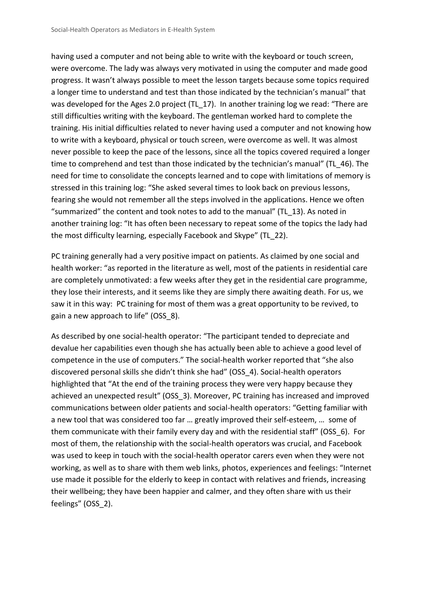having used a computer and not being able to write with the keyboard or touch screen, were overcome. The lady was always very motivated in using the computer and made good progress. It wasn't always possible to meet the lesson targets because some topics required a longer time to understand and test than those indicated by the technician's manual" that was developed for the Ages 2.0 project (TL 17). In another training log we read: "There are still difficulties writing with the keyboard. The gentleman worked hard to complete the training. His initial difficulties related to never having used a computer and not knowing how to write with a keyboard, physical or touch screen, were overcome as well. It was almost never possible to keep the pace of the lessons, since all the topics covered required a longer time to comprehend and test than those indicated by the technician's manual" (TL\_46). The need for time to consolidate the concepts learned and to cope with limitations of memory is stressed in this training log: "She asked several times to look back on previous lessons, fearing she would not remember all the steps involved in the applications. Hence we often "summarized" the content and took notes to add to the manual" (TL\_13). As noted in another training log: "It has often been necessary to repeat some of the topics the lady had the most difficulty learning, especially Facebook and Skype" (TL\_22).

PC training generally had a very positive impact on patients. As claimed by one social and health worker: "as reported in the literature as well, most of the patients in residential care are completely unmotivated: a few weeks after they get in the residential care programme, they lose their interests, and it seems like they are simply there awaiting death. For us, we saw it in this way: PC training for most of them was a great opportunity to be revived, to gain a new approach to life" (OSS 8).

As described by one social-health operator: "The participant tended to depreciate and devalue her capabilities even though she has actually been able to achieve a good level of competence in the use of computers." The social-health worker reported that "she also discovered personal skills she didn't think she had" (OSS\_4). Social-health operators highlighted that "At the end of the training process they were very happy because they achieved an unexpected result" (OSS\_3). Moreover, PC training has increased and improved communications between older patients and social-health operators: "Getting familiar with a new tool that was considered too far … greatly improved their self-esteem, … some of them communicate with their family every day and with the residential staff" (OSS\_6). For most of them, the relationship with the social-health operators was crucial, and Facebook was used to keep in touch with the social-health operator carers even when they were not working, as well as to share with them web links, photos, experiences and feelings: "Internet use made it possible for the elderly to keep in contact with relatives and friends, increasing their wellbeing; they have been happier and calmer, and they often share with us their feelings" (OSS 2).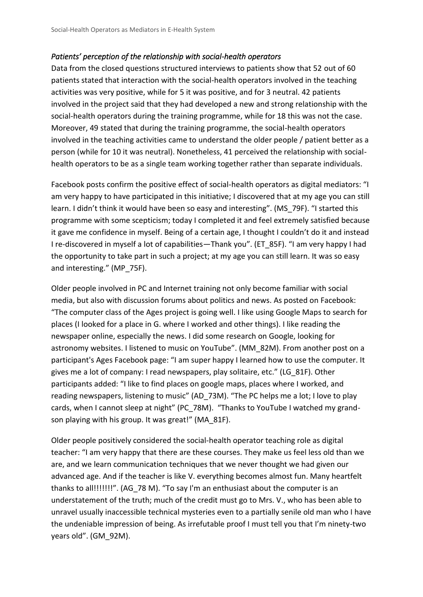#### *Patients' perception of the relationship with social-health operators*

Data from the closed questions structured interviews to patients show that 52 out of 60 patients stated that interaction with the social-health operators involved in the teaching activities was very positive, while for 5 it was positive, and for 3 neutral. 42 patients involved in the project said that they had developed a new and strong relationship with the social-health operators during the training programme, while for 18 this was not the case. Moreover, 49 stated that during the training programme, the social-health operators involved in the teaching activities came to understand the older people / patient better as a person (while for 10 it was neutral). Nonetheless, 41 perceived the relationship with socialhealth operators to be as a single team working together rather than separate individuals.

Facebook posts confirm the positive effect of social-health operators as digital mediators: "I am very happy to have participated in this initiative; I discovered that at my age you can still learn. I didn't think it would have been so easy and interesting". (MS\_79F). "I started this programme with some scepticism; today I completed it and feel extremely satisfied because it gave me confidence in myself. Being of a certain age, I thought I couldn't do it and instead I re-discovered in myself a lot of capabilities—Thank you". (ET\_85F). "I am very happy I had the opportunity to take part in such a project; at my age you can still learn. It was so easy and interesting." (MP\_75F).

Older people involved in PC and Internet training not only become familiar with social media, but also with discussion forums about politics and news. As posted on Facebook: "The computer class of the Ages project is going well. I like using Google Maps to search for places (I looked for a place in G. where I worked and other things). I like reading the newspaper online, especially the news. I did some research on Google, looking for astronomy websites. I listened to music on YouTube". (MM\_82M). From another post on a participant's Ages Facebook page: "I am super happy I learned how to use the computer. It gives me a lot of company: I read newspapers, play solitaire, etc." (LG\_81F). Other participants added: "I like to find places on google maps, places where I worked, and reading newspapers, listening to music" (AD\_73M). "The PC helps me a lot; I love to play cards, when I cannot sleep at night" (PC\_78M). "Thanks to YouTube I watched my grandson playing with his group. It was great!" (MA\_81F).

Older people positively considered the social-health operator teaching role as digital teacher: "I am very happy that there are these courses. They make us feel less old than we are, and we learn communication techniques that we never thought we had given our advanced age. And if the teacher is like V. everything becomes almost fun. Many heartfelt thanks to all!!!!!!!". (AG\_78 M). "To say I'm an enthusiast about the computer is an understatement of the truth; much of the credit must go to Mrs. V., who has been able to unravel usually inaccessible technical mysteries even to a partially senile old man who I have the undeniable impression of being. As irrefutable proof I must tell you that I'm ninety-two years old". (GM\_92M).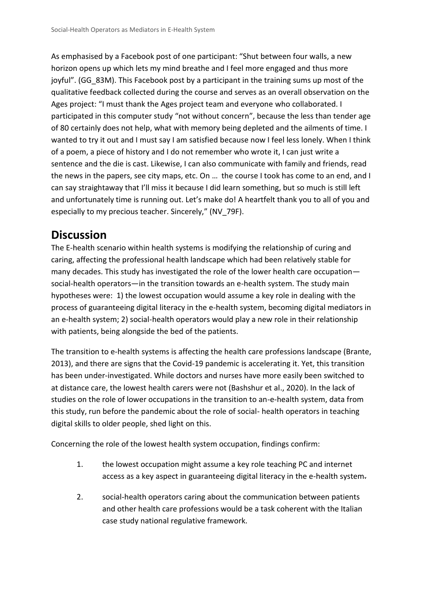As emphasised by a Facebook post of one participant: "Shut between four walls, a new horizon opens up which lets my mind breathe and I feel more engaged and thus more joyful". (GG\_83M). This Facebook post by a participant in the training sums up most of the qualitative feedback collected during the course and serves as an overall observation on the Ages project: "I must thank the Ages project team and everyone who collaborated. I participated in this computer study "not without concern", because the less than tender age of 80 certainly does not help, what with memory being depleted and the ailments of time. I wanted to try it out and I must say I am satisfied because now I feel less lonely. When I think of a poem, a piece of history and I do not remember who wrote it, I can just write a sentence and the die is cast. Likewise, I can also communicate with family and friends, read the news in the papers, see city maps, etc. On … the course I took has come to an end, and I can say straightaway that I'll miss it because I did learn something, but so much is still left and unfortunately time is running out. Let's make do! A heartfelt thank you to all of you and especially to my precious teacher. Sincerely," (NV\_79F).

### **Discussion**

The E-health scenario within health systems is modifying the relationship of curing and caring, affecting the professional health landscape which had been relatively stable for many decades. This study has investigated the role of the lower health care occupation social-health operators—in the transition towards an e-health system. The study main hypotheses were: 1) the lowest occupation would assume a key role in dealing with the process of guaranteeing digital literacy in the e-health system, becoming digital mediators in an e-health system; 2) social-health operators would play a new role in their relationship with patients, being alongside the bed of the patients.

The transition to e-health systems is affecting the health care professions landscape (Brante, 2013), and there are signs that the Covid-19 pandemic is accelerating it. Yet, this transition has been under-investigated. While doctors and nurses have more easily been switched to at distance care, the lowest health carers were not (Bashshur et al., 2020). In the lack of studies on the role of lower occupations in the transition to an-e-health system, data from this study, run before the pandemic about the role of social- health operators in teaching digital skills to older people, shed light on this.

Concerning the role of the lowest health system occupation, findings confirm:

- 1. the lowest occupation might assume a key role teaching PC and internet access as a key aspect in guaranteeing digital literacy in the e-health system-
- 2. social-health operators caring about the communication between patients and other health care professions would be a task coherent with the Italian case study national regulative framework.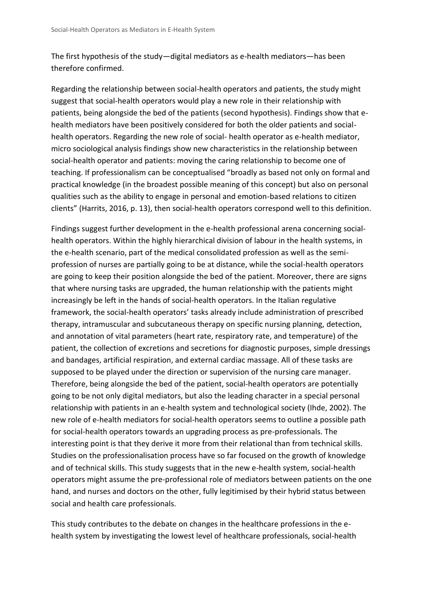The first hypothesis of the study—digital mediators as e-health mediators—has been therefore confirmed.

Regarding the relationship between social-health operators and patients, the study might suggest that social-health operators would play a new role in their relationship with patients, being alongside the bed of the patients (second hypothesis). Findings show that ehealth mediators have been positively considered for both the older patients and socialhealth operators. Regarding the new role of social- health operator as e-health mediator, micro sociological analysis findings show new characteristics in the relationship between social-health operator and patients: moving the caring relationship to become one of teaching. If professionalism can be conceptualised "broadly as based not only on formal and practical knowledge (in the broadest possible meaning of this concept) but also on personal qualities such as the ability to engage in personal and emotion-based relations to citizen clients" (Harrits, 2016, p. 13), then social-health operators correspond well to this definition.

Findings suggest further development in the e-health professional arena concerning socialhealth operators. Within the highly hierarchical division of labour in the health systems, in the e-health scenario, part of the medical consolidated profession as well as the semiprofession of nurses are partially going to be at distance, while the social-health operators are going to keep their position alongside the bed of the patient. Moreover, there are signs that where nursing tasks are upgraded, the human relationship with the patients might increasingly be left in the hands of social-health operators. In the Italian regulative framework, the social-health operators' tasks already include administration of prescribed therapy, intramuscular and subcutaneous therapy on specific nursing planning, detection, and annotation of vital parameters (heart rate, respiratory rate, and temperature) of the patient, the collection of excretions and secretions for diagnostic purposes, simple dressings and bandages, artificial respiration, and external cardiac massage. All of these tasks are supposed to be played under the direction or supervision of the nursing care manager. Therefore, being alongside the bed of the patient, social-health operators are potentially going to be not only digital mediators, but also the leading character in a special personal relationship with patients in an e-health system and technological society (Ihde, 2002). The new role of e-health mediators for social-health operators seems to outline a possible path for social-health operators towards an upgrading process as pre-professionals. The interesting point is that they derive it more from their relational than from technical skills. Studies on the professionalisation process have so far focused on the growth of knowledge and of technical skills. This study suggests that in the new e-health system, social-health operators might assume the pre-professional role of mediators between patients on the one hand, and nurses and doctors on the other, fully legitimised by their hybrid status between social and health care professionals.

This study contributes to the debate on changes in the healthcare professions in the ehealth system by investigating the lowest level of healthcare professionals, social-health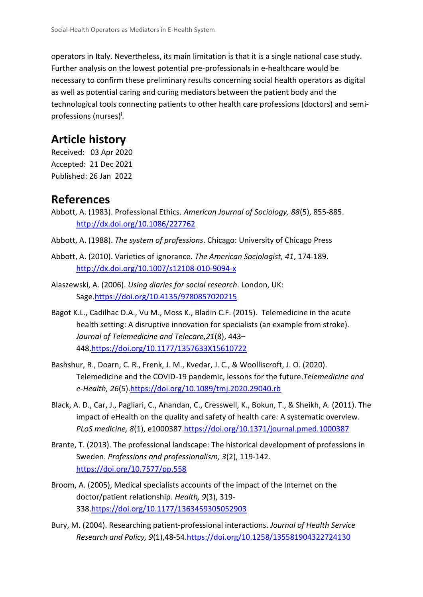operators in Italy. Nevertheless, its main limitation is that it is a single national case study. Further analysis on the lowest potential pre-professionals in e-healthcare would be necessary to confirm these preliminary results concerning social health operators as digital as well as potential caring and curing mediators between the patient body and the technological tools connecting patients to other health care professions (doctors) and semiprofessions (nurses)<sup>i</sup>.

### **Article history**

Received: 03 Apr 2020 Accepted: 21 Dec 2021 Published: 26 Jan 2022

### **References**

Abbott, A. (1983). Professional Ethics. *American Journal of Sociology, 88*(5), 855-885. <http://dx.doi.org/10.1086/227762>

Abbott, A. (1988). *The system of professions*. Chicago: University of Chicago Press

- Abbott, A. (2010). Varieties of ignorance. *The American Sociologist, 41*, 174-189. <http://dx.doi.org/10.1007/s12108-010-9094-x>
- Alaszewski, A. (2006). *Using diaries for social research*. London, UK: Sage[.https://doi.org/10.4135/9780857020215](https://doi.org/10.4135/9780857020215)
- Bagot K.L., Cadilhac D.A., Vu M., Moss K., Bladin C.F. (2015). Telemedicine in the acute health setting: A disruptive innovation for specialists (an example from stroke). *Journal of Telemedicine and Telecare,21*(8), 443– 448[.https://doi.org/10.1177/1357633X15610722](https://doi.org/10.1177/1357633X15610722)
- Bashshur, R., Doarn, C. R., Frenk, J. M., Kvedar, J. C., & Woolliscroft, J. O. (2020). Telemedicine and the COVID-19 pandemic, lessons for the future.*Telemedicine and e-Health, 26*(5)[.https://doi.org/10.1089/tmj.2020.29040.rb](https://doi.org/10.1089/tmj.2020.29040.rb)
- Black, A. D., Car, J., Pagliari, C., Anandan, C., Cresswell, K., Bokun, T., & Sheikh, A. (2011). The impact of eHealth on the quality and safety of health care: A systematic overview. *PLoS medicine, 8*(1), e1000387[.https://doi.org/10.1371/journal.pmed.1000387](https://doi.org/10.1371/journal.pmed.1000387)
- Brante, T. (2013). The professional landscape: The historical development of professions in Sweden. *Professions and professionalism, 3*(2), 119-142. <https://doi.org/10.7577/pp.558>
- Broom, A. (2005), Medical specialists accounts of the impact of the Internet on the doctor/patient relationship. *Health, 9*(3), 319- 338[.https://doi.org/10.1177/1363459305052903](https://doi.org/10.1177/1363459305052903)
- Bury, M. (2004). Researching patient-professional interactions. *Journal of Health Service Research and Policy, 9*(1),48-54[.https://doi.org/10.1258/135581904322724130](https://doi.org/10.1258/135581904322724130)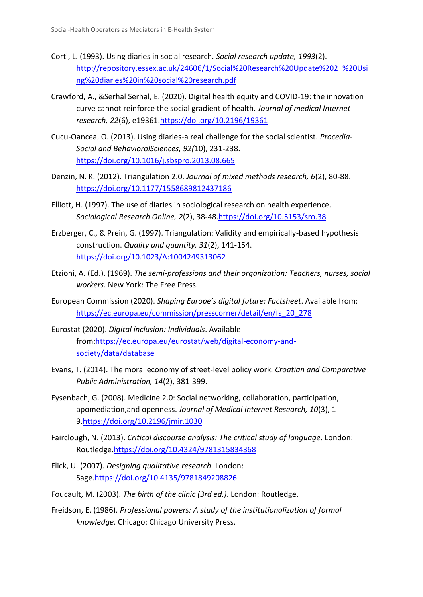- Corti, L. (1993). Using diaries in social research*. Social research update, 1993*(2). [http://repository.essex.ac.uk/24606/1/Social%20Research%20Update%202\\_%20Usi](http://repository.essex.ac.uk/24606/1/Social%20Research%20Update%202_%20Using%20diaries%20in%20social%20research.pdf) [ng%20diaries%20in%20social%20research.pdf](http://repository.essex.ac.uk/24606/1/Social%20Research%20Update%202_%20Using%20diaries%20in%20social%20research.pdf)
- Crawford, A., &Serhal Serhal, E. (2020). Digital health equity and COVID-19: the innovation curve cannot reinforce the social gradient of health. *Journal of medical Internet research, 22*(6), e19361[.https://doi.org/10.2196/19361](https://doi.org/10.2196/19361)
- Cucu-Oancea, O. (2013). Using diaries-a real challenge for the social scientist. *Procedia-Social and BehavioralSciences, 92(*10), 231-238. <https://doi.org/10.1016/j.sbspro.2013.08.665>
- Denzin, N. K. (2012). Triangulation 2.0. *Journal of mixed methods research, 6*(2), 80-88. <https://doi.org/10.1177/1558689812437186>
- Elliott, H. (1997). The use of diaries in sociological research on health experience. *Sociological Research Online, 2*(2), 38-48[.https://doi.org/10.5153/sro.38](https://doi.org/10.5153/sro.38)
- Erzberger, C., & Prein, G. (1997). Triangulation: Validity and empirically-based hypothesis construction. *Quality and quantity, 31*(2), 141-154. <https://doi.org/10.1023/A:1004249313062>
- Etzioni, A. (Ed.). (1969). *The semi-professions and their organization: Teachers, nurses, social workers.* New York: The Free Press.
- European Commission (2020). *Shaping Europe's digital future: Factsheet*. Available from: [https://ec.europa.eu/commission/presscorner/detail/en/fs\\_20\\_278](https://ec.europa.eu/commission/presscorner/detail/en/fs_20_278)
- Eurostat (2020). *Digital inclusion: Individuals*. Available from[:https://ec.europa.eu/eurostat/web/digital-economy-and](https://ec.europa.eu/eurostat/web/digital-economy-and-society/data/database)[society/data/database](https://ec.europa.eu/eurostat/web/digital-economy-and-society/data/database)
- Evans, T. (2014). The moral economy of street-level policy work. *Croatian and Comparative Public Administration, 14*(2), 381-399.
- Eysenbach, G. (2008). Medicine 2.0: Social networking, collaboration, participation, apomediation,and openness. *Journal of Medical Internet Research, 10*(3), 1- 9[.https://doi.org/10.2196/jmir.1030](https://doi.org/10.2196/jmir.1030)
- Fairclough, N. (2013). *Critical discourse analysis: The critical study of language*. London: Routledge[.https://doi.org/10.4324/9781315834368](https://doi.org/10.4324/9781315834368)
- Flick, U. (2007). *Designing qualitative research*. London: Sage[.https://doi.org/10.4135/9781849208826](https://doi.org/10.4135/9781849208826)
- Foucault, M. (2003). *The birth of the clinic (3rd ed.)*. London: Routledge.
- Freidson, E. (1986). *Professional powers: A study of the institutionalization of formal knowledge*. Chicago: Chicago University Press.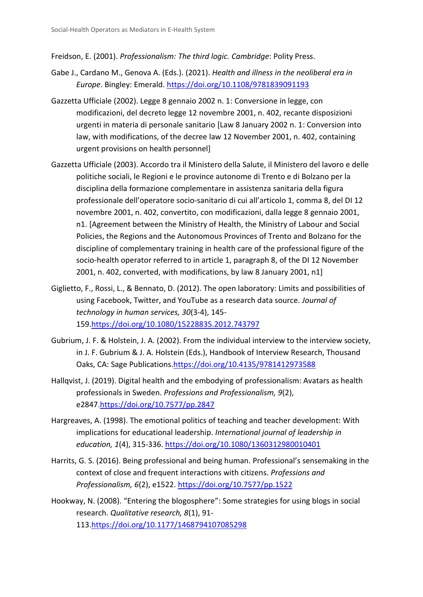Freidson, E. (2001). *Professionalism: The third logic. Cambridge*: Polity Press.

- Gabe J., Cardano M., Genova A. (Eds.). (2021). *Health and illness in the neoliberal era in Europe*. Bingley: Emerald.<https://doi.org/10.1108/9781839091193>
- Gazzetta Ufficiale (2002). Legge 8 gennaio 2002 n. 1: Conversione in legge, con modificazioni, del decreto legge 12 novembre 2001, n. 402, recante disposizioni urgenti in materia di personale sanitario [Law 8 January 2002 n. 1: Conversion into law, with modifications, of the decree law 12 November 2001, n. 402, containing urgent provisions on health personnel]
- Gazzetta Ufficiale (2003). Accordo tra il Ministero della Salute, il Ministero del lavoro e delle politiche sociali, le Regioni e le province autonome di Trento e di Bolzano per la disciplina della formazione complementare in assistenza sanitaria della figura professionale dell'operatore socio-sanitario di cui all'articolo 1, comma 8, del DI 12 novembre 2001, n. 402, convertito, con modificazioni, dalla legge 8 gennaio 2001, n1. [Agreement between the Ministry of Health, the Ministry of Labour and Social Policies, the Regions and the Autonomous Provinces of Trento and Bolzano for the discipline of complementary training in health care of the professional figure of the socio-health operator referred to in article 1, paragraph 8, of the DI 12 November 2001, n. 402, converted, with modifications, by law 8 January 2001, n1]
- Giglietto, F., Rossi, L., & Bennato, D. (2012). The open laboratory: Limits and possibilities of using Facebook, Twitter, and YouTube as a research data source*. Journal of technology in human services, 30*(3-4), 145- 159[.https://doi.org/10.1080/15228835.2012.743797](https://doi.org/10.1080/15228835.2012.743797)
- Gubrium, J. F. & Holstein, J. A. (2002). From the individual interview to the interview society, in J. F. Gubrium & J. A. Holstein (Eds.), Handbook of Interview Research, Thousand Oaks, CA: Sage Publications[.https://doi.org/10.4135/9781412973588](https://doi.org/10.4135/9781412973588)
- Hallqvist, J. (2019). Digital health and the embodying of professionalism: Avatars as health professionals in Sweden. *Professions and Professionalism, 9*(2), e2847[.https://doi.org/10.7577/pp.2847](https://doi.org/10.7577/pp.2847)
- Hargreaves, A. (1998). The emotional politics of teaching and teacher development: With implications for educational leadership. *International journal of leadership in education, 1*(4), 315-336.<https://doi.org/10.1080/1360312980010401>
- Harrits, G. S. (2016). Being professional and being human. Professional's sensemaking in the context of close and frequent interactions with citizens. *Professions and Professionalism, 6*(2), e1522.<https://doi.org/10.7577/pp.1522>
- Hookway, N. (2008). "Entering the blogosphere": Some strategies for using blogs in social research. *Qualitative research, 8*(1), 91- 113[.https://doi.org/10.1177/1468794107085298](https://doi.org/10.1177/1468794107085298)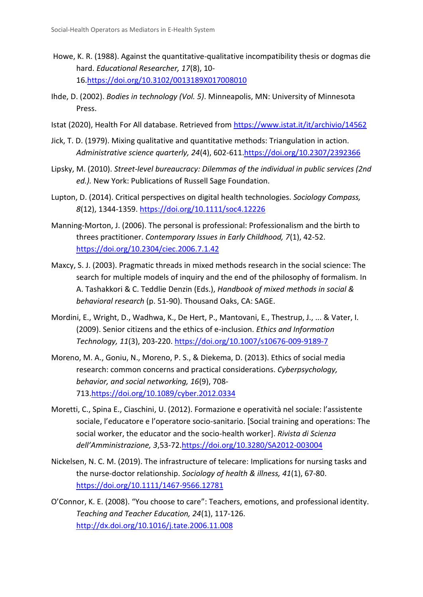- Howe, K. R. (1988). Against the quantitative-qualitative incompatibility thesis or dogmas die hard. *Educational Researcher, 17*(8), 10- 16[.https://doi.org/10.3102/0013189X017008010](https://doi.org/10.3102/0013189X017008010)
- Ihde, D. (2002). *Bodies in technology (Vol. 5)*. Minneapolis, MN: University of Minnesota Press.
- Istat (2020), Health For All database. Retrieved from<https://www.istat.it/it/archivio/14562>
- Jick, T. D. (1979). Mixing qualitative and quantitative methods: Triangulation in action. *Administrative science quarterly, 24*(4), 602-611[.https://doi.org/10.2307/2392366](https://doi.org/10.2307/2392366)
- Lipsky, M. (2010). *Street-level bureaucracy: Dilemmas of the individual in public services (2nd ed.).* New York: Publications of Russell Sage Foundation.
- Lupton, D. (2014). Critical perspectives on digital health technologies. *Sociology Compass, 8*(12), 1344-1359[. https://doi.org/10.1111/soc4.12226](https://doi.org/10.1111/soc4.12226)
- Manning-Morton, J. (2006). The personal is professional: Professionalism and the birth to threes practitioner. *Contemporary Issues in Early Childhood, 7*(1), 42-52. <https://doi.org/10.2304/ciec.2006.7.1.42>
- Maxcy, S. J. (2003). Pragmatic threads in mixed methods research in the social science: The search for multiple models of inquiry and the end of the philosophy of formalism. In A. Tashakkori & C. Teddlie Denzin (Eds.), *Handbook of mixed methods in social & behavioral research* (p. 51-90). Thousand Oaks, CA: SAGE.
- Mordini, E., Wright, D., Wadhwa, K., De Hert, P., Mantovani, E., Thestrup, J., ... & Vater, I. (2009). Senior citizens and the ethics of e-inclusion. *Ethics and Information Technology, 11*(3), 203-220.<https://doi.org/10.1007/s10676-009-9189-7>
- Moreno, M. A., Goniu, N., Moreno, P. S., & Diekema, D. (2013). Ethics of social media research: common concerns and practical considerations. *Cyberpsychology, behavior, and social networking, 16*(9), 708- 713[.https://doi.org/10.1089/cyber.2012.0334](https://doi.org/10.1089/cyber.2012.0334)
- Moretti, C., Spina E., Ciaschini, U. (2012). Formazione e operatività nel sociale: l'assistente sociale, l'educatore e l'operatore socio-sanitario. [Social training and operations: The social worker, the educator and the socio-health worker]. *Rivista di Scienza dell'Amministrazione, 3*,53-72[.https://doi.org/10.3280/SA2012-003004](https://doi.org/10.3280/SA2012-003004)
- Nickelsen, N. C. M. (2019). The infrastructure of telecare: Implications for nursing tasks and the nurse‐doctor relationship. *Sociology of health & illness, 41*(1), 67-80. <https://doi.org/10.1111/1467-9566.12781>
- O'Connor, K. E. (2008). "You choose to care": Teachers, emotions, and professional identity. *Teaching and Teacher Education, 24*(1), 117-126. <http://dx.doi.org/10.1016/j.tate.2006.11.008>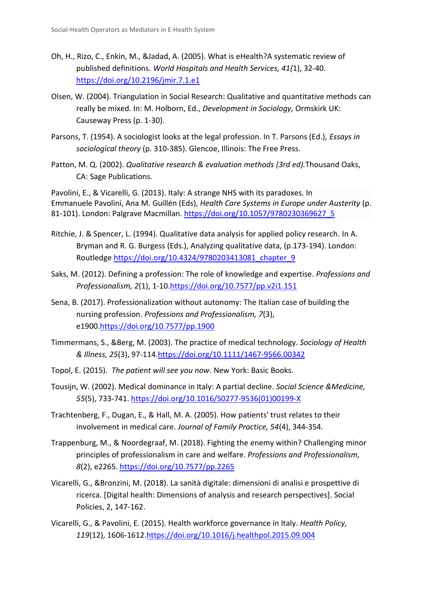- Oh, H., Rizo, C., Enkin, M., &Jadad, A. (2005). What is eHealth?A systematic review of published definitions. *World Hospitals and Health Services, 41(*1), 32-40. <https://doi.org/10.2196/jmir.7.1.e1>
- Olsen, W. (2004). Triangulation in Social Research: Qualitative and quantitative methods can really be mixed. In: M. Holborn, Ed., *Development in Sociology,* Ormskirk UK: Causeway Press (p. 1-30).
- Parsons, T. (1954). A sociologist looks at the legal profession. In T. Parsons (Ed.), *Essays in sociological theory* (p. 310-385). Glencoe, Illinois: The Free Press.
- Patton, M. Q. (2002). *Qualitative research & evaluation methods (3rd ed).*Thousand Oaks, CA: Sage Publications.

Pavolini, E., & Vicarelli, G. (2013). Italy: A strange NHS with its paradoxes. In Emmanuele Pavolini, Ana M. Guillén (Eds), *Health Care Systems in Europe under Austerity* (p. 81-101). London: Palgrave Macmillan. [https://doi.org/10.1057/9780230369627\\_5](https://doi.org/10.1057/9780230369627_5)

- Ritchie, J. & Spencer, L. (1994). Qualitative data analysis for applied policy research. In A. Bryman and R. G. Burgess (Eds.), Analyzing qualitative data, (p.173-194). London: Routledge [https://doi.org/10.4324/9780203413081\\_chapter\\_9](https://doi.org/10.4324/9780203413081_chapter_9)
- Saks, M. (2012). Defining a profession: The role of knowledge and expertise. *Professions and Professionalism, 2*(1), 1-10[.https://doi.org/10.7577/pp.v2i1.151](https://doi.org/10.7577/pp.v2i1.151)
- Sena, B. (2017). Professionalization without autonomy: The Italian case of building the nursing profession. *Professions and Professionalism, 7*(3), e1900[.https://doi.org/10.7577/pp.1900](https://doi.org/10.7577/pp.1900)
- Timmermans, S., &Berg, M. (2003). The practice of medical technology. *Sociology of Health & Illness, 25*(3), 97-114[.https://doi.org/10.1111/1467-9566.00342](https://doi.org/10.1111/1467-9566.00342)
- Topol, E. (2015). *The patient will see you now*. New York: Basic Books.
- Tousijn, W. (2002). Medical dominance in Italy: A partial decline. *Social Science &Medicine, 55*(5), 733-741. [https://doi.org/10.1016/S0277-9536\(01\)00199-X](https://doi.org/10.1016/S0277-9536(01)00199-X)
- Trachtenberg, F., Dugan, E., & Hall, M. A. (2005). How patients' trust relates to their involvement in medical care. *Journal of Family Practice, 54*(4), 344-354.
- Trappenburg, M., & Noordegraaf, M. (2018). Fighting the enemy within? Challenging minor principles of professionalism in care and welfare. *Professions and Professionalism, 8*(2), e2265.<https://doi.org/10.7577/pp.2265>
- Vicarelli, G., &Bronzini, M. (2018). La sanità digitale: dimensioni di analisi e prospettive di ricerca. [Digital health: Dimensions of analysis and research perspectives]. Social Policies, 2, 147-162.
- Vicarelli, G., & Pavolini, E. (2015). Health workforce governance in Italy. *Health Policy, 119*(12), 1606-1612[.https://doi.org/10.1016/j.healthpol.2015.09.004](https://doi.org/10.1016/j.healthpol.2015.09.004)